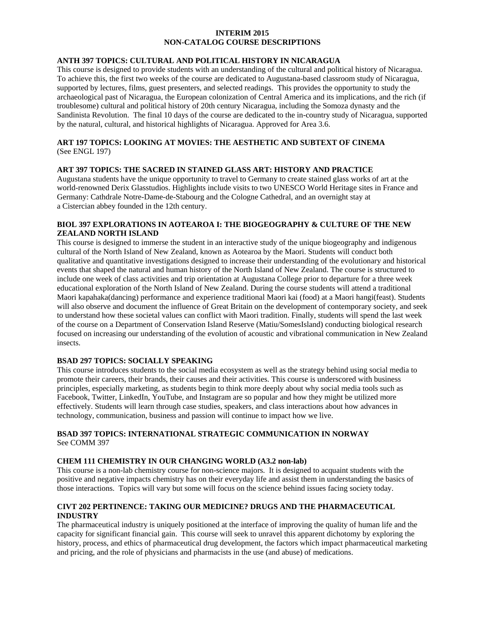# **INTERIM 2015 NON-CATALOG COURSE DESCRIPTIONS**

## **ANTH 397 TOPICS: CULTURAL AND POLITICAL HISTORY IN NICARAGUA**

This course is designed to provide students with an understanding of the cultural and political history of Nicaragua. To achieve this, the first two weeks of the course are dedicated to Augustana-based classroom study of Nicaragua, supported by lectures, films, guest presenters, and selected readings. This provides the opportunity to study the archaeological past of Nicaragua, the European colonization of Central America and its implications, and the rich (if troublesome) cultural and political history of 20th century Nicaragua, including the Somoza dynasty and the Sandinista Revolution. The final 10 days of the course are dedicated to the in-country study of Nicaragua, supported by the natural, cultural, and historical highlights of Nicaragua. Approved for Area 3.6.

## **ART 197 TOPICS: LOOKING AT MOVIES: THE AESTHETIC AND SUBTEXT OF CINEMA** (See ENGL 197)

### **ART 397 TOPICS: THE SACRED IN STAINED GLASS ART: HISTORY AND PRACTICE**

Augustana students have the unique opportunity to travel to Germany to create stained glass works of art at the world-renowned [Derix Glasstudios.](http://www.derix.com/en/) Highlights include visits to two UNESCO World Heritage sites in France and Germany: Cathdrale Notre-Dame-de-Stabourg and the Cologne Cathedral, and an overnight stay at a Cistercian abbey founded in the 12th century.

### **BIOL 397 EXPLORATIONS IN AOTEAROA I: THE BIOGEOGRAPHY & CULTURE OF THE NEW ZEALAND NORTH ISLAND**

This course is designed to immerse the student in an interactive study of the unique biogeography and indigenous cultural of the North Island of New Zealand, known as Aotearoa by the Maori. Students will conduct both qualitative and quantitative investigations designed to increase their understanding of the evolutionary and historical events that shaped the natural and human history of the North Island of New Zealand. The course is structured to include one week of class activities and trip orientation at Augustana College prior to departure for a three week educational exploration of the North Island of New Zealand. During the course students will attend a traditional Maori kapahaka(dancing) performance and experience traditional Maori kai (food) at a Maori hangi(feast). Students will also observe and document the influence of Great Britain on the development of contemporary society, and seek to understand how these societal values can conflict with Maori tradition. Finally, students will spend the last week of the course on a Department of Conservation Island Reserve (Matiu/SomesIsland) conducting biological research focused on increasing our understanding of the evolution of acoustic and vibrational communication in New Zealand insects.

### **BSAD 297 TOPICS: SOCIALLY SPEAKING**

This course introduces students to the social media ecosystem as well as the strategy behind using social media to promote their careers, their brands, their causes and their activities. This course is underscored with business principles, especially marketing, as students begin to think more deeply about why social media tools such as Facebook, Twitter, LinkedIn, YouTube, and Instagram are so popular and how they might be utilized more effectively. Students will learn through case studies, speakers, and class interactions about how advances in technology, communication, business and passion will continue to impact how we live.

# **BSAD 397 TOPICS: INTERNATIONAL STRATEGIC COMMUNICATION IN NORWAY** See COMM 397

#### **CHEM 111 CHEMISTRY IN OUR CHANGING WORLD (A3.2 non-lab)**

This course is a non-lab chemistry course for non-science majors. It is designed to acquaint students with the positive and negative impacts chemistry has on their everyday life and assist them in understanding the basics of those interactions. Topics will vary but some will focus on the science behind issues facing society today.

### **CIVT 202 PERTINENCE: TAKING OUR MEDICINE? DRUGS AND THE PHARMACEUTICAL INDUSTRY**

The pharmaceutical industry is uniquely positioned at the interface of improving the quality of human life and the capacity for significant financial gain. This course will seek to unravel this apparent dichotomy by exploring the history, process, and ethics of pharmaceutical drug development, the factors which impact pharmaceutical marketing and pricing, and the role of physicians and pharmacists in the use (and abuse) of medications.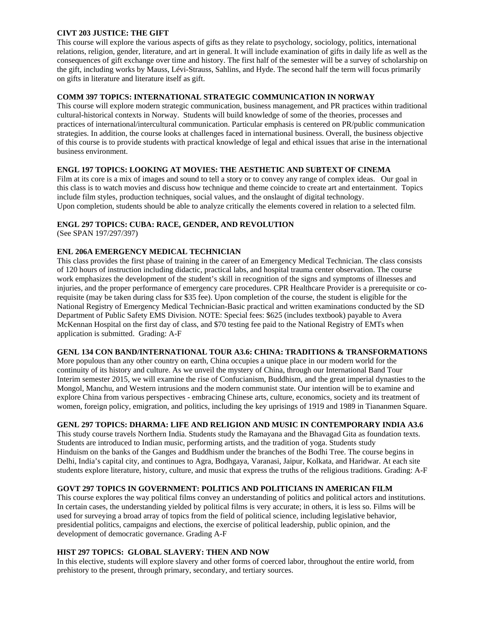### **CIVT 203 JUSTICE: THE GIFT**

This course will explore the various aspects of gifts as they relate to psychology, sociology, politics, international relations, religion, gender, literature, and art in general. It will include examination of gifts in daily life as well as the consequences of gift exchange over time and history. The first half of the semester will be a survey of scholarship on the gift, including works by Mauss, Lévi-Strauss, Sahlins, and Hyde. The second half the term will focus primarily on gifts in literature and literature itself as gift.

### **COMM 397 TOPICS: INTERNATIONAL STRATEGIC COMMUNICATION IN NORWAY**

This course will explore modern strategic communication, business management, and PR practices within traditional cultural-historical contexts in Norway. Students will build knowledge of some of the theories, processes and practices of international/intercultural communication. Particular emphasis is centered on PR/public communication strategies. In addition, the course looks at challenges faced in international business. Overall, the business objective of this course is to provide students with practical knowledge of legal and ethical issues that arise in the international business environment.

## **ENGL 197 TOPICS: LOOKING AT MOVIES: THE AESTHETIC AND SUBTEXT OF CINEMA**

Film at its core is a mix of images and sound to tell a story or to convey any range of complex ideas. Our goal in this class is to watch movies and discuss how technique and theme coincide to create art and entertainment. Topics include film styles, production techniques, social values, and the onslaught of digital technology. Upon completion, students should be able to analyze critically the elements covered in relation to a selected film.

## **ENGL 297 TOPICS: CUBA: RACE, GENDER, AND REVOLUTION**

(See SPAN 197/297/397)

### **ENL 206A EMERGENCY MEDICAL TECHNICIAN**

This class provides the first phase of training in the career of an Emergency Medical Technician. The class consists of 120 hours of instruction including didactic, practical labs, and hospital trauma center observation. The course work emphasizes the development of the student's skill in recognition of the signs and symptoms of illnesses and injuries, and the proper performance of emergency care procedures. CPR Healthcare Provider is a prerequisite or corequisite (may be taken during class for \$35 fee). Upon completion of the course, the student is eligible for the National Registry of Emergency Medical Technician-Basic practical and written examinations conducted by the SD Department of Public Safety EMS Division. NOTE: Special fees: \$625 (includes textbook) payable to Avera McKennan Hospital on the first day of class, and \$70 testing fee paid to the National Registry of EMTs when application is submitted. Grading: A-F

### **GENL 134 CON BAND/INTERNATIONAL TOUR A3.6: CHINA: TRADITIONS & TRANSFORMATIONS**

More populous than any other country on earth, China occupies a unique place in our modern world for the continuity of its history and culture. As we unveil the mystery of China, through our International Band Tour Interim semester 2015, we will examine the rise of Confucianism, Buddhism, and the great imperial dynasties to the Mongol, Manchu, and Western intrusions and the modern communist state. Our intention will be to examine and explore China from various perspectives - embracing Chinese arts, culture, economics, society and its treatment of women, foreign policy, emigration, and politics, including the key uprisings of 1919 and 1989 in Tiananmen Square.

## **GENL 297 TOPICS: DHARMA: LIFE AND RELIGION AND MUSIC IN CONTEMPORARY INDIA A3.6**

This study course travels Northern India. Students study the Ramayana and the Bhavagad Gita as foundation texts. Students are introduced to Indian music, performing artists, and the tradition of yoga. Students study Hinduism on the banks of the Ganges and Buddhism under the branches of the Bodhi Tree. The course begins in Delhi, India's capital city, and continues to Agra, Bodhgaya, Varanasi, Jaipur, Kolkata, and Haridwar. At each site students explore literature, history, culture, and music that express the truths of the religious traditions. Grading: A-F

## **GOVT 297 TOPICS IN GOVERNMENT: POLITICS AND POLITICIANS IN AMERICAN FILM**

This course explores the way political films convey an understanding of politics and political actors and institutions. In certain cases, the understanding yielded by political films is very accurate; in others, it is less so. Films will be used for surveying a broad array of topics from the field of political science, including legislative behavior, presidential politics, campaigns and elections, the exercise of political leadership, public opinion, and the development of democratic governance. Grading A-F

## **HIST 297 TOPICS: GLOBAL SLAVERY: THEN AND NOW**

In this elective, students will explore slavery and other forms of coerced labor, throughout the entire world, from prehistory to the present, through primary, secondary, and tertiary sources.